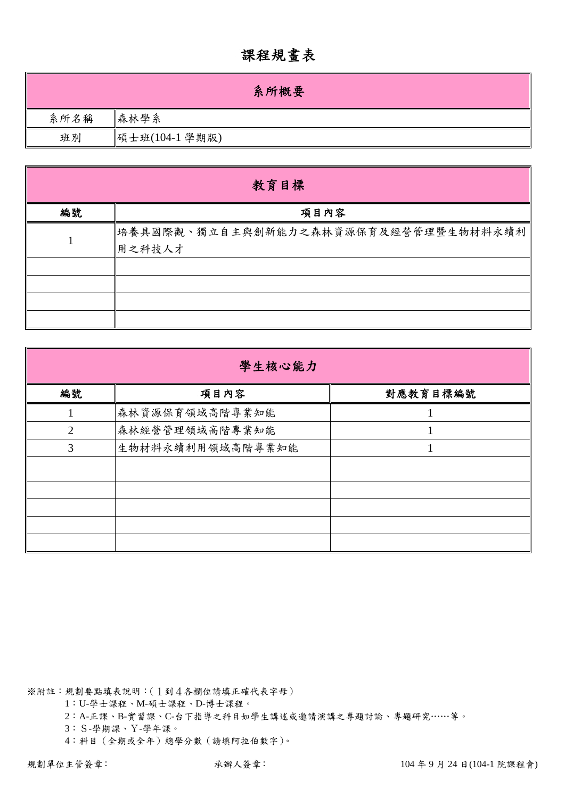## 課程規畫表

|      | 系所概要           |
|------|----------------|
| 系所名稱 | 森林學系           |
| 班別   | 碩士班(104-1 學期版) |

| 教育目標 |                                                 |  |  |  |  |  |  |  |
|------|-------------------------------------------------|--|--|--|--|--|--|--|
| 編號   | 項目內容                                            |  |  |  |  |  |  |  |
|      | 培養具國際觀、獨立自主與創新能力之森林資源保育及經營管理暨生物材料永續利 <br>用之科技人才 |  |  |  |  |  |  |  |
|      |                                                 |  |  |  |  |  |  |  |
|      |                                                 |  |  |  |  |  |  |  |
|      |                                                 |  |  |  |  |  |  |  |
|      |                                                 |  |  |  |  |  |  |  |

| 學生核心能力         |                  |          |  |  |  |  |  |
|----------------|------------------|----------|--|--|--|--|--|
| 編號             | 項目內容             | 對應教育目標編號 |  |  |  |  |  |
|                | 森林資源保育領域高階專業知能   |          |  |  |  |  |  |
| $\overline{2}$ | 森林經營管理領域高階專業知能   |          |  |  |  |  |  |
| 3              | 生物材料永續利用領域高階專業知能 |          |  |  |  |  |  |
|                |                  |          |  |  |  |  |  |
|                |                  |          |  |  |  |  |  |
|                |                  |          |  |  |  |  |  |
|                |                  |          |  |  |  |  |  |
|                |                  |          |  |  |  |  |  |

※附註:規劃要點填表說明:(1到4各欄位請填正確代表字母)

1:U-學士課程、M-碩士課程、D-博士課程。

2:A-正課、B-實習課、C-台下指導之科目如學生講述或邀請演講之專題討論、專題研究……等。

3:S-學期課、Y-學年課。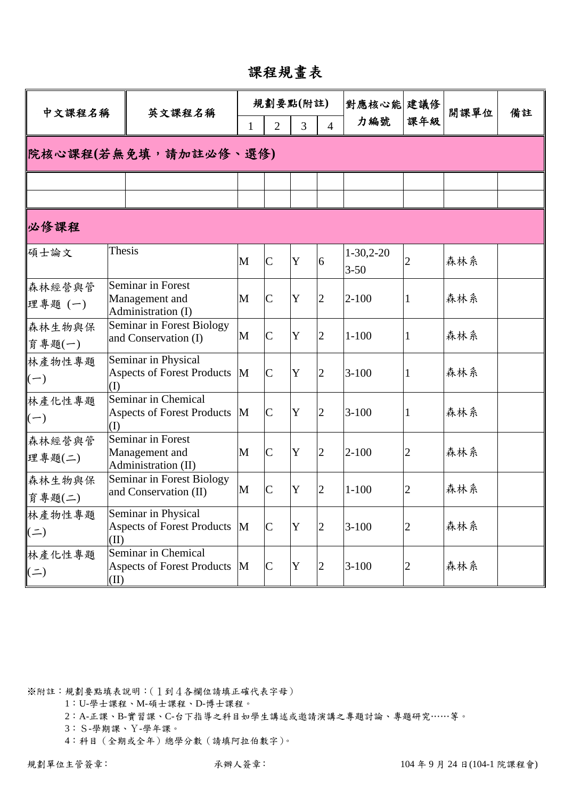## 課程規畫表

| 中文課程名稱               |        | 英文課程名稱                                                     |              | 規劃要點(附註)       |             |                | 對應核心能 建議修               |              | 開課單位 |    |
|----------------------|--------|------------------------------------------------------------|--------------|----------------|-------------|----------------|-------------------------|--------------|------|----|
|                      |        |                                                            | $\mathbf{1}$ | $\overline{2}$ | 3           | $\overline{4}$ | 力編號                     | 課年級          |      | 備註 |
|                      |        | 院核心課程(若無免填,請加註必修、選修)                                       |              |                |             |                |                         |              |      |    |
|                      |        |                                                            |              |                |             |                |                         |              |      |    |
| 必修課程                 |        |                                                            |              |                |             |                |                         |              |      |    |
| 碩士論文                 | Thesis |                                                            | M            | $\mathsf{C}$   | $\mathbf Y$ | 6              | $1-30,2-20$<br>$3 - 50$ |              | 森林系  |    |
| 森林經營與管<br>理專題(一)     |        | Seminar in Forest<br>Management and<br>Administration (I)  | M            | $\mathsf{C}$   | Y           | $\overline{2}$ | $2 - 100$               | 1            | 森林系  |    |
| 森林生物與保<br>育專題(一)     |        | Seminar in Forest Biology<br>and Conservation (I)          | M            | $\mathsf{C}$   | Y           | $\overline{2}$ | $1 - 100$               | 1            | 森林系  |    |
| 林產物性專題<br>$(-)$      | (I)    | Seminar in Physical<br><b>Aspects of Forest Products</b>   | M            | $\mathsf{C}$   | Y           | $\overline{2}$ | $3 - 100$               | 1            | 森林系  |    |
| 林產化性專題<br>$(-)$      | (I)    | Seminar in Chemical<br><b>Aspects of Forest Products</b>   | M            | $\mathsf{C}$   | Y           | $\overline{2}$ | $3 - 100$               | $\mathbf{1}$ | 森林系  |    |
| 森林經營與管<br>理專題(二)     |        | Seminar in Forest<br>Management and<br>Administration (II) | M            | $\mathsf{C}$   | Y           | $\overline{2}$ | $2 - 100$               | 2            | 森林系  |    |
| 森林生物與保<br>育專題(二)     |        | Seminar in Forest Biology<br>and Conservation (II)         | M            | $\mathsf{C}$   | Y           | $\overline{2}$ | $1 - 100$               | 2            | 森林系  |    |
| 林產物性專題<br>$($ = $)$  | (II)   | Seminar in Physical<br>Aspects of Forest Products M        |              | $\mathcal{C}$  | Y           | $\overline{2}$ | $3 - 100$               | 2            | 森林系  |    |
| 林產化性專題<br>$(\equiv)$ | (II)   | Seminar in Chemical<br><b>Aspects of Forest Products</b>   | M            | $\mathsf{C}$   | $\mathbf Y$ | $\overline{2}$ | $3 - 100$               | 2            | 森林系  |    |

※附註:規劃要點填表說明:(1到4各欄位請填正確代表字母)

1:U-學士課程、M-碩士課程、D-博士課程。

2:A-正課、B-實習課、C-台下指導之科目如學生講述或邀請演講之專題討論、專題研究……等。

3:S-學期課、Y-學年課。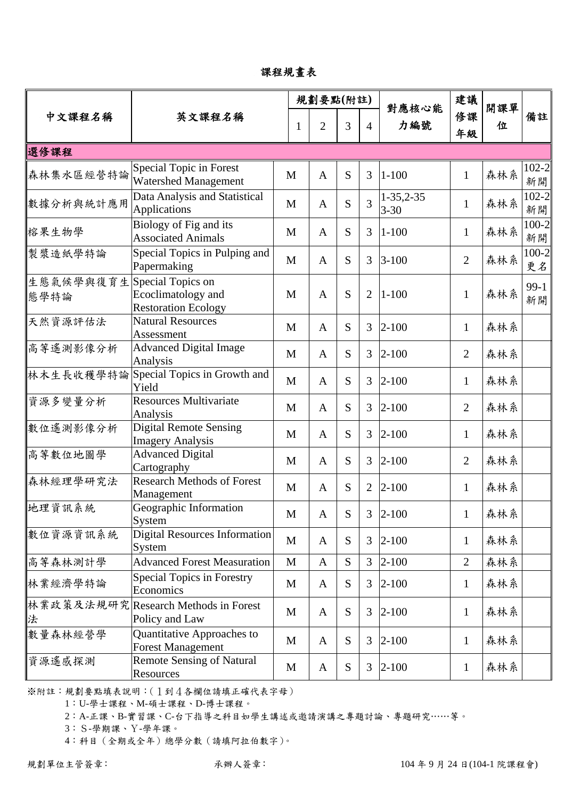課程規畫表

|                   | 英文課程名稱                                                                |              |   | 規劃要點(附註)       |   |                | 對應核心能                   | 建議             | 開課單 | 備註              |
|-------------------|-----------------------------------------------------------------------|--------------|---|----------------|---|----------------|-------------------------|----------------|-----|-----------------|
| 中文課程名稱            |                                                                       |              | 1 | $\overline{2}$ | 3 | $\overline{4}$ | 力編號                     | 修課<br>年級       | 位   |                 |
| 選修課程              |                                                                       |              |   |                |   |                |                         |                |     |                 |
| 森林集水區經營特論         | Special Topic in Forest<br><b>Watershed Management</b>                | M            |   | $\mathbf{A}$   | S | 3              | $1 - 100$               | $\mathbf{1}$   | 森林系 | $102 - 2$<br>新開 |
| 數據分析與統計應用         | Data Analysis and Statistical<br><b>Applications</b>                  | M            |   | $\mathbf{A}$   | S | 3              | $1-35,2-35$<br>$3 - 30$ | $\mathbf{1}$   | 森林系 | $102 - 2$<br>新開 |
| 榕果生物學             | Biology of Fig and its<br><b>Associated Animals</b>                   | M            |   | $\mathbf{A}$   | S | 3              | $1 - 100$               | $\mathbf{1}$   | 森林系 | $100 - 2$<br>新開 |
| 製漿造紙學特論           | Special Topics in Pulping and<br>Papermaking                          | M            |   | $\mathbf{A}$   | S | 3              | $3 - 100$               | $\overline{2}$ | 森林系 | 100-2<br>更名     |
| 生態氣候學與復育生<br>態學特論 | Special Topics on<br>Ecoclimatology and<br><b>Restoration Ecology</b> | M            |   | $\mathbf{A}$   | S | $\overline{2}$ | $1 - 100$               | $\mathbf{1}$   | 森林系 | $99-1$<br>新開    |
| 天然資源評估法           | <b>Natural Resources</b><br>Assessment                                | M            |   | $\mathbf{A}$   | S | 3              | $2 - 100$               | $\mathbf{1}$   | 森林系 |                 |
| 高等遙測影像分析          | <b>Advanced Digital Image</b><br>Analysis                             | M            |   | $\mathbf{A}$   | S | 3              | $2 - 100$               | $\overline{2}$ | 森林系 |                 |
| 林木生長收穫學特論         | Special Topics in Growth and<br>Yield                                 | M            |   | $\mathbf{A}$   | S | 3              | $2 - 100$               | $\mathbf{1}$   | 森林系 |                 |
| 資源多變量分析           | <b>Resources Multivariate</b><br>Analysis                             | M            |   | $\mathbf{A}$   | S | 3              | $2 - 100$               | $\overline{2}$ | 森林系 |                 |
| 數位遙測影像分析          | <b>Digital Remote Sensing</b><br><b>Imagery Analysis</b>              | M            |   | $\mathbf{A}$   | S | 3              | $2 - 100$               | $\mathbf{1}$   | 森林系 |                 |
| 高等數位地圖學           | <b>Advanced Digital</b><br>Cartography                                | M            |   | $\mathbf{A}$   | S | 3              | $2 - 100$               | $\overline{2}$ | 森林系 |                 |
| 森林經理學研究法          | <b>Research Methods of Forest</b><br>Management                       | M            |   | $\mathbf{A}$   | S | $\overline{2}$ | $2 - 100$               | $\mathbf{1}$   | 森林系 |                 |
| 地理資訊系統            | Geographic Information<br>System                                      | M            |   | A              | S | 3              | $2 - 100$               | 1              | 森林系 |                 |
| 數位資源資訊系統          | <b>Digital Resources Information</b><br>System                        | M            |   | $\mathbf{A}$   | S | 3              | $2 - 100$               | $\mathbf{1}$   | 森林系 |                 |
| 高等森林測計學           | <b>Advanced Forest Measuration</b>                                    | $\mathbf{M}$ |   | $\mathbf{A}$   | S | 3              | $2 - 100$               | $\overline{2}$ | 森林系 |                 |
| 林業經濟學特論           | <b>Special Topics in Forestry</b><br>Economics                        | M            |   | A              | S | 3              | $2 - 100$               | $\mathbf{1}$   | 森林系 |                 |
| 林業政策及法規研究<br>法    | <b>Research Methods in Forest</b><br>Policy and Law                   | M            |   | $\mathbf{A}$   | S | 3              | $2 - 100$               | 1              | 森林系 |                 |
| 數量森林經營學           | Quantitative Approaches to<br><b>Forest Management</b>                | M            |   | $\mathbf{A}$   | S | 3              | $2 - 100$               | $\mathbf{1}$   | 森林系 |                 |
| 資源遙感探測            | <b>Remote Sensing of Natural</b><br>Resources                         | M            |   | $\mathbf{A}$   | S | 3              | $2 - 100$               | $\mathbf{1}$   | 森林系 |                 |

1:U-學士課程、M-碩士課程、D-博士課程。

2:A-正課、B-實習課、C-台下指導之科目如學生講述或邀請演講之專題討論、專題研究……等。

3:S-學期課、Y-學年課。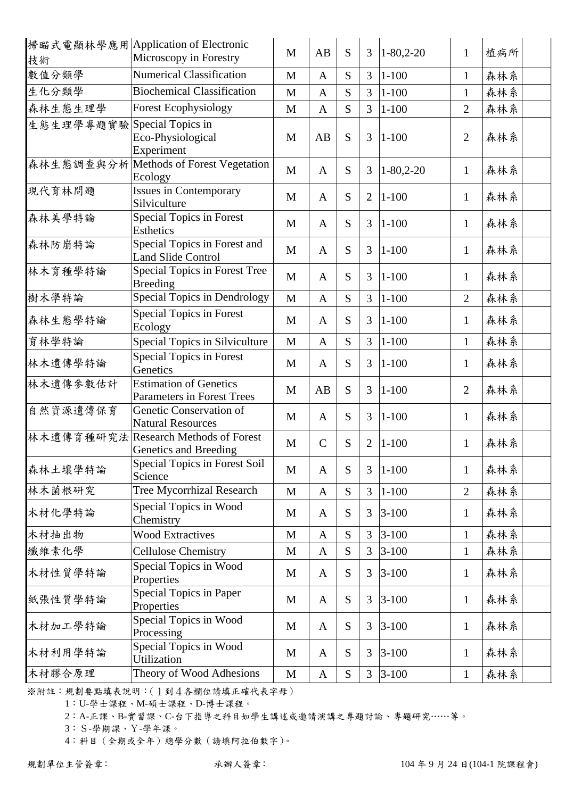|                             | 掃瞄式電顯林學應用 Application of Electronic<br>Microscopy in Forestry      | M            | AB           | S         | $\overline{3}$ | $1 - 80, 2 - 20$ | $\mathbf{1}$   | 植病所 |
|-----------------------------|--------------------------------------------------------------------|--------------|--------------|-----------|----------------|------------------|----------------|-----|
| 技術<br>數值分類學                 | <b>Numerical Classification</b>                                    | M            | A            | S         | $\overline{3}$ | $1 - 100$        | $\mathbf{1}$   | 森林系 |
| 生化分類學                       | <b>Biochemical Classification</b>                                  |              |              | S         | $\overline{3}$ | $1 - 100$        |                |     |
|                             |                                                                    | M            | $\mathbf{A}$ |           |                |                  | $\mathbf{1}$   | 森林系 |
| 森林生態生理學                     | <b>Forest Ecophysiology</b>                                        | M            | $\mathbf{A}$ | S         | $\overline{3}$ | $1 - 100$        | $\overline{2}$ | 森林系 |
| 生態生理學專題實驗 Special Topics in | Eco-Physiological<br>Experiment                                    | M            | AB           | S         | 3              | $1 - 100$        | $\overline{2}$ | 森林系 |
|                             | 森林生態調查與分析 Methods of Forest Vegetation<br>Ecology                  | M            | $\mathbf{A}$ | S         | 3              | $1 - 80, 2 - 20$ | $\mathbf{1}$   | 森林系 |
| 現代育林問題                      | <b>Issues in Contemporary</b><br>Silviculture                      | M            | $\mathbf{A}$ | S         | $\overline{2}$ | $1 - 100$        | $\mathbf{1}$   | 森林系 |
| 森林美學特論                      | Special Topics in Forest<br><b>Esthetics</b>                       | M            | $\mathbf{A}$ | S         | 3              | $1 - 100$        | $\mathbf{1}$   | 森林系 |
| 森林防崩特論                      | Special Topics in Forest and<br><b>Land Slide Control</b>          | M            | $\mathbf{A}$ | S         | 3              | $1 - 100$        | $\mathbf{1}$   | 森林系 |
| 林木育種學特論                     | Special Topics in Forest Tree<br><b>Breeding</b>                   | M            | A            | S         | 3              | $1 - 100$        | $\mathbf{1}$   | 森林系 |
| 樹木學特論                       | Special Topics in Dendrology                                       | M            | $\mathbf{A}$ | S         | $\overline{3}$ | $1 - 100$        | $\overline{2}$ | 森林系 |
| 森林生態學特論                     | <b>Special Topics in Forest</b><br>Ecology                         | M            | $\mathbf{A}$ | S         | 3              | $1 - 100$        | $\mathbf{1}$   | 森林系 |
| 育林學特論                       | Special Topics in Silviculture                                     | M            | $\mathbf{A}$ | S         | 3              | $1 - 100$        | $\mathbf{1}$   | 森林系 |
| 林木遺傳學特論                     | <b>Special Topics in Forest</b><br>Genetics                        | M            | $\mathbf{A}$ | S         | 3              | $1 - 100$        | $\mathbf{1}$   | 森林系 |
| 林木遺傳參數估計                    | <b>Estimation of Genetics</b><br><b>Parameters in Forest Trees</b> | M            | AB           | S         | 3              | $1 - 100$        | $\overline{2}$ | 森林系 |
| 自然資源遺傳保育                    | Genetic Conservation of<br><b>Natural Resources</b>                | M            | $\mathbf{A}$ | S         | 3              | $1 - 100$        | $\mathbf{1}$   | 森林系 |
|                             | 林木遺傳育種研究法 Research Methods of Forest<br>Genetics and Breeding      | M            | $\mathsf{C}$ | S         | $\overline{2}$ | $1 - 100$        | $\mathbf{1}$   | 森林系 |
| 森林土壤學特論                     | Special Topics in Forest Soil<br>Science                           | M            | A            | S         | 3              | $1 - 100$        | $\mathbf{1}$   | 森林系 |
| 林木菌根研究                      | <b>Tree Mycorrhizal Research</b>                                   | $\mathbf M$  | $\mathbf{A}$ | S         | 3              | $1 - 100$        | $\overline{2}$ | 森林系 |
| 木材化學特論                      | Special Topics in Wood<br>Chemistry                                | M            | A            | S         | 3              | $3 - 100$        | $\mathbf{1}$   | 森林系 |
| 木材抽出物                       | <b>Wood Extractives</b>                                            | $\mathbf M$  | $\mathbf{A}$ | S         | 3              | $3 - 100$        | $\mathbf{1}$   | 森林系 |
| 纖維素化學                       | <b>Cellulose Chemistry</b>                                         | M            | $\mathbf{A}$ | S         | $\overline{3}$ | $3 - 100$        | $\mathbf{1}$   | 森林系 |
| 木材性質學特論                     | Special Topics in Wood<br>Properties                               | M            | A            | S         | 3              | $3 - 100$        | $\mathbf{1}$   | 森林系 |
| 紙張性質學特論                     | Special Topics in Paper<br>Properties                              | M            | A            | S         | 3              | $3 - 100$        | $\mathbf{1}$   | 森林系 |
| 木材加工學特論                     | Special Topics in Wood<br>Processing                               | M            | $\mathbf{A}$ | S         | 3              | $3 - 100$        | $\mathbf{1}$   | 森林系 |
| 木材利用學特論                     | Special Topics in Wood<br>Utilization                              | M            | A            | S         | 3              | $3 - 100$        | $\mathbf{1}$   | 森林系 |
| 木材膠合原理                      | Theory of Wood Adhesions                                           | $\mathbf{M}$ | $\mathbf{A}$ | ${\bf S}$ | 3              | $3 - 100$        | $\mathbf{1}$   | 森林系 |

1:U-學士課程、M-碩士課程、D-博士課程。

2:A-正課、B-實習課、C-台下指導之科目如學生講述或邀請演講之專題討論、專題研究……等。

3:S-學期課、Y-學年課。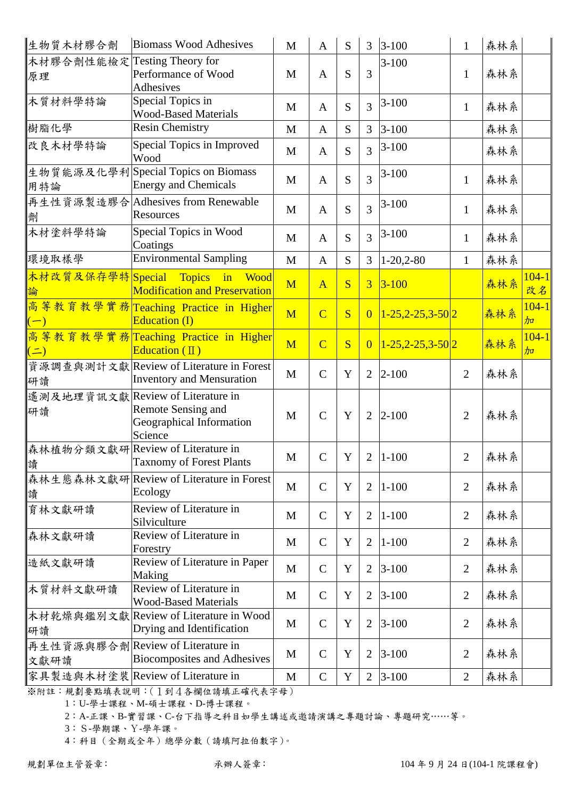| 生物質木材膠合劑                     | <b>Biomass Wood Adhesives</b>            | M            | A              | S           | 3              | $3-100$                     | $\mathbf{1}$   | 森林系 |                            |
|------------------------------|------------------------------------------|--------------|----------------|-------------|----------------|-----------------------------|----------------|-----|----------------------------|
| 木材膠合劑性能檢定 Testing Theory for |                                          |              |                |             |                | $3 - 100$                   |                |     |                            |
| 原理                           | Performance of Wood                      | M            | A              | S           | 3              |                             | $\mathbf{1}$   | 森林系 |                            |
|                              | <b>Adhesives</b>                         |              |                |             |                |                             |                |     |                            |
| 木質材料學特論                      | Special Topics in                        | M            | $\mathbf{A}$   | S           | 3              | $3 - 100$                   | $\mathbf{1}$   | 森林系 |                            |
|                              | <b>Wood-Based Materials</b>              |              |                |             |                |                             |                |     |                            |
| 樹脂化學                         | <b>Resin Chemistry</b>                   | M            | $\mathbf{A}$   | S           | 3              | $3 - 100$                   |                | 森林系 |                            |
| 改良木材學特論                      | Special Topics in Improved<br>Wood       | M            | $\mathbf{A}$   | S           | 3              | $3 - 100$                   |                | 森林系 |                            |
|                              | 生物質能源及化學利Special Topics on Biomass       |              |                |             |                | $3 - 100$                   |                |     |                            |
| 用特論                          | <b>Energy and Chemicals</b>              | M            | $\mathbf{A}$   | S           | 3              |                             | $\mathbf{1}$   | 森林系 |                            |
|                              | 再生性資源製造膠合 Adhesives from Renewable       |              |                |             |                | $3 - 100$                   |                |     |                            |
| 劑                            | Resources                                | M            | $\mathbf{A}$   | S           | 3              |                             | $\mathbf{1}$   | 森林系 |                            |
| 木材塗料學特論                      | Special Topics in Wood                   |              |                |             |                | $3 - 100$                   |                |     |                            |
|                              | Coatings                                 | M            | $\mathbf{A}$   | S           | 3              |                             | $\mathbf{1}$   | 森林系 |                            |
| 環境取樣學                        | <b>Environmental Sampling</b>            | M            | $\mathbf{A}$   | S           | $\mathfrak{Z}$ | $1-20,2-80$                 | $\mathbf{1}$   | 森林系 |                            |
| 木材改質及保存學特 Special Topics     | in<br><b>Wood</b>                        |              |                |             |                |                             |                |     | $104 - 1$                  |
|                              | <b>Modification and Preservation</b>     | M            | $\overline{A}$ | S           | $\overline{3}$ | $3 - 100$                   |                | 森林系 | 改名                         |
|                              | 高等教育教學實務 Teaching Practice in Higher     |              |                |             |                |                             |                |     | $104 - 1$                  |
| $(-)$                        | Education (I)                            | M            | $\overline{C}$ | S           | $\overline{0}$ | $1 - 25, 2 - 25, 3 - 50$  2 |                | 森林系 | $\frac{1}{2}$              |
|                              | 高等教育教學實務 Teaching Practice in Higher     |              |                |             |                |                             |                |     |                            |
|                              | Education $(\mathbb{I})$                 | M            | $\overline{C}$ | S           | $\overline{0}$ | $1 - 25, 2 - 25, 3 - 50$  2 |                | 森林系 | $104 - 1$<br>$\frac{1}{2}$ |
| $($ $\equiv$ $)$             |                                          |              |                |             |                |                             |                |     |                            |
|                              | 資源調查與測計文獻 Review of Literature in Forest | $\mathbf{M}$ | $\mathcal{C}$  | Y           | $\overline{2}$ | $2 - 100$                   | $\overline{2}$ | 森林系 |                            |
| 研讀                           | <b>Inventory and Mensuration</b>         |              |                |             |                |                             |                |     |                            |
|                              | 遙測及地理資訊文獻 Review of Literature in        |              |                |             |                |                             |                |     |                            |
| 研讀                           | Remote Sensing and                       | M            | $\mathcal{C}$  | Y           | $\overline{2}$ | $2 - 100$                   | $\overline{2}$ | 森林系 |                            |
|                              | Geographical Information<br>Science      |              |                |             |                |                             |                |     |                            |
|                              | 森林植物分類文獻研 Review of Literature in        |              |                |             |                |                             |                |     |                            |
|                              | <b>Taxnomy of Forest Plants</b>          | M            | $\mathsf{C}$   | $\mathbf Y$ | $\mathbf{2}$   | $1 - 100$                   | $\mathbf{2}$   | 森林系 |                            |
| 讀                            | 森林生態森林文獻研Review of Literature in Forest  |              |                |             |                |                             |                |     |                            |
|                              | Ecology                                  | M            | $\mathcal{C}$  | Y           | $\overline{2}$ | $1 - 100$                   | $\overline{2}$ | 森林系 |                            |
| 讀                            |                                          |              |                |             |                |                             |                |     |                            |
| 育林文獻研讀                       | Review of Literature in<br>Silviculture  | M            | $\mathcal{C}$  | Y           | $\overline{2}$ | $1 - 100$                   | $\overline{2}$ | 森林系 |                            |
| 森林文獻研讀                       | Review of Literature in                  |              |                |             |                |                             |                |     |                            |
|                              | Forestry                                 | M            | $\mathcal{C}$  | Y           | $\overline{2}$ | $1 - 100$                   | $\overline{2}$ | 森林系 |                            |
| 造紙文獻研讀                       | Review of Literature in Paper            |              |                |             |                |                             |                |     |                            |
|                              | Making                                   | $\mathbf M$  | $\mathbf C$    | $\mathbf Y$ | $\overline{2}$ | $3 - 100$                   | $\overline{2}$ | 森林系 |                            |
| 木質材料文獻研讀                     | Review of Literature in                  |              |                |             |                |                             |                |     |                            |
|                              | <b>Wood-Based Materials</b>              | M            | $\mathcal{C}$  | Y           | $\overline{2}$ | $3 - 100$                   | $\overline{2}$ | 森林系 |                            |
|                              | 木材乾燥與鑑別文獻 Review of Literature in Wood   |              |                |             |                |                             |                |     |                            |
| 研讀                           | Drying and Identification                | M            | $\mathcal{C}$  | Y           | 2              | $3 - 100$                   | $\overline{2}$ | 森林系 |                            |
|                              | 再生性資源與膠合劑 Review of Literature in        |              |                |             |                |                             |                |     |                            |
| 文獻研讀                         | <b>Biocomposites and Adhesives</b>       | $\mathbf{M}$ | $\mathcal{C}$  | Y           | $\overline{2}$ | $3 - 100$                   | $\overline{2}$ | 森林系 |                            |
|                              | 家具製造與木材塗裝 Review of Literature in        | M            | $\mathbf C$    | $\mathbf Y$ | $\overline{2}$ | $3 - 100$                   | $\overline{2}$ | 森林系 |                            |

1:U-學士課程、M-碩士課程、D-博士課程。

2:A-正課、B-實習課、C-台下指導之科目如學生講述或邀請演講之專題討論、專題研究……等。

3:S-學期課、Y-學年課。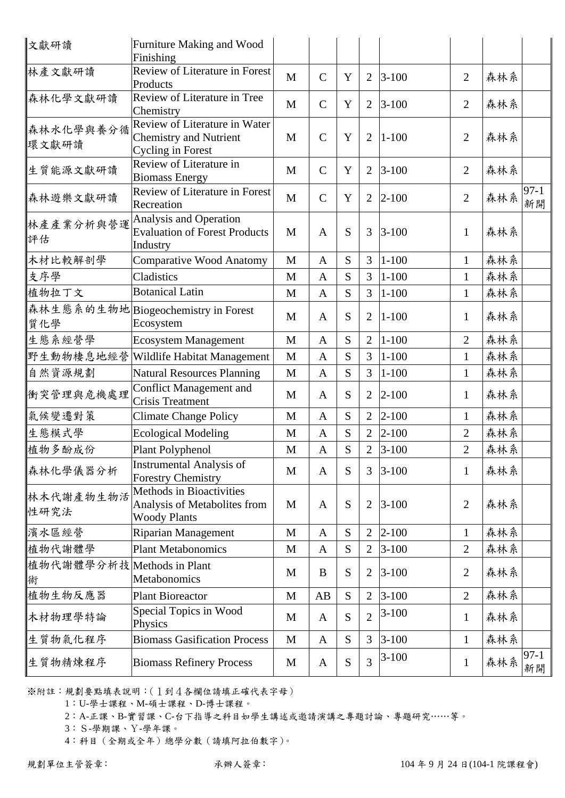| 文獻研讀                            | Furniture Making and Wood<br>Finishing                                                 |              |               |   |                |            |                |     |              |
|---------------------------------|----------------------------------------------------------------------------------------|--------------|---------------|---|----------------|------------|----------------|-----|--------------|
| 林產文獻研讀                          | Review of Literature in Forest<br>Products                                             | $\mathbf{M}$ | $\mathbf C$   | Y | $\overline{2}$ | $3 - 100$  | $\overline{2}$ | 森林系 |              |
| 森林化學文獻研讀                        | Review of Literature in Tree<br>Chemistry                                              | M            | $\mathcal{C}$ | Y | $\overline{2}$ | $3-100$    | $\overline{2}$ | 森林系 |              |
| 森林水化學與養分循<br>環文獻研讀              | Review of Literature in Water<br><b>Chemistry and Nutrient</b><br>Cycling in Forest    | M            | $\mathcal{C}$ | Y | $\overline{2}$ | $1 - 100$  | $\overline{2}$ | 森林系 |              |
| 生質能源文獻研讀                        | Review of Literature in<br><b>Biomass Energy</b>                                       | M            | $\mathcal{C}$ | Y | 2              | $3 - 100$  | $\overline{2}$ | 森林系 |              |
| 森林遊樂文獻研讀                        | <b>Review of Literature in Forest</b><br>Recreation                                    | M            | $\mathcal{C}$ | Y | $\overline{2}$ | $2 - 100$  | $\overline{2}$ | 森林系 | $97-1$<br>新開 |
| 林產產業分析與營運<br>評估                 | Analysis and Operation<br><b>Evaluation of Forest Products</b><br>Industry             | M            | $\mathbf{A}$  | S | 3              | $3 - 100$  | $\mathbf{1}$   | 森林系 |              |
| 木材比較解剖學                         | Comparative Wood Anatomy                                                               | M            | $\mathbf{A}$  | S | 3              | $1 - 100$  | $\mathbf{1}$   | 森林系 |              |
| 支序學                             | Cladistics                                                                             | M            | $\mathbf{A}$  | S | 3              | $1 - 100$  | $\mathbf{1}$   | 森林系 |              |
| 植物拉丁文                           | <b>Botanical Latin</b>                                                                 | $\mathbf{M}$ | $\mathbf{A}$  | S | $\overline{3}$ | $1 - 100$  | $\mathbf{1}$   | 森林系 |              |
| 質化學                             | 森林生態系的生物地 Biogeochemistry in Forest<br>Ecosystem                                       | M            | $\mathbf{A}$  | S | $\overline{2}$ | $1 - 100$  | $\mathbf{1}$   | 森林系 |              |
| 生態系經營學                          | <b>Ecosystem Management</b>                                                            | $\mathbf M$  | $\mathbf{A}$  | S | $\overline{2}$ | $1 - 100$  | $\overline{2}$ | 森林系 |              |
| 野生動物棲息地經營                       | Wildlife Habitat Management                                                            | M            | $\mathbf{A}$  | S | 3              | $1 - 100$  | $\mathbf{1}$   | 森林系 |              |
| 自然資源規劃                          | <b>Natural Resources Planning</b>                                                      | M            | $\mathbf{A}$  | S | $\overline{3}$ | $1 - 100$  | $\mathbf{1}$   | 森林系 |              |
| 衝突管理與危機處理                       | <b>Conflict Management and</b><br>Crisis Treatment                                     | M            | $\mathbf{A}$  | S | $\overline{2}$ | $2 - 100$  | $\mathbf{1}$   | 森林系 |              |
| 氣候變遷對策                          | <b>Climate Change Policy</b>                                                           | $\mathbf{M}$ | $\mathbf{A}$  | S | $\overline{2}$ | $ 2 - 100$ | $\mathbf{1}$   | 森林系 |              |
| 生態模式學                           | <b>Ecological Modeling</b>                                                             | $\mathbf{M}$ | $\mathbf{A}$  | S | $\overline{2}$ | $2 - 100$  | $\overline{2}$ | 森林系 |              |
| 植物多酚成份                          | Plant Polyphenol                                                                       | $\mathbf{M}$ | $\mathbf{A}$  | S | $\overline{2}$ | $3 - 100$  | $\overline{2}$ | 森林系 |              |
| 森林化學儀器分析                        | Instrumental Analysis of<br><b>Forestry Chemistry</b>                                  | M            | $\mathbf{A}$  | S | 3              | $3 - 100$  | $\mathbf{1}$   | 森林系 |              |
| 林木代謝產物生物活<br>性研究法               | <b>Methods in Bioactivities</b><br>Analysis of Metabolites from<br><b>Woody Plants</b> | M            | A             | S | $\overline{2}$ | $3 - 100$  | $\overline{2}$ | 森林系 |              |
| 濱水區經營                           | <b>Riparian Management</b>                                                             | M            | $\mathbf{A}$  | S | $\overline{2}$ | $2 - 100$  | $\mathbf{1}$   | 森林系 |              |
| 植物代謝體學                          | <b>Plant Metabonomics</b>                                                              | $\mathbf M$  | $\mathbf{A}$  | S | $\mathbf{2}$   | $3 - 100$  | $\overline{2}$ | 森林系 |              |
| 植物代謝體學分析技 Methods in Plant<br>術 | Metabonomics                                                                           | M            | B             | S | $\overline{2}$ | $3 - 100$  | $\overline{2}$ | 森林系 |              |
| 植物生物反應器                         | <b>Plant Bioreactor</b>                                                                | M            | AB            | S | $\overline{2}$ | $3 - 100$  | $\mathfrak{2}$ | 森林系 |              |
| 木材物理學特論                         | Special Topics in Wood<br>Physics                                                      | M            | A             | S | $\overline{2}$ | $3 - 100$  | $\mathbf{1}$   | 森林系 |              |
| 生質物氣化程序                         | <b>Biomass Gasification Process</b>                                                    | $\mathbf{M}$ | $\mathbf{A}$  | S | 3              | $3 - 100$  | $\mathbf{1}$   | 森林系 |              |
| 生質物精煉程序                         | <b>Biomass Refinery Process</b>                                                        | M            | A             | S | $\overline{3}$ | $3 - 100$  | $\mathbf{1}$   | 森林系 | $97-1$<br>新開 |

1:U-學士課程、M-碩士課程、D-博士課程。

2:A-正課、B-實習課、C-台下指導之科目如學生講述或邀請演講之專題討論、專題研究……等。

3:S-學期課、Y-學年課。